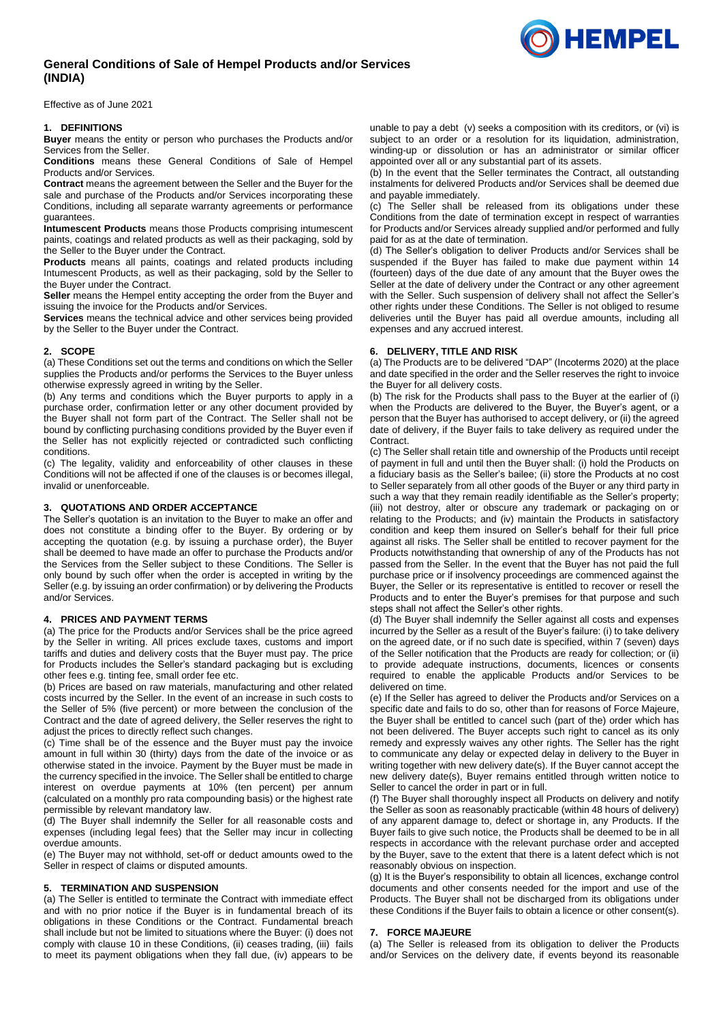# **General Conditions of Sale of Hempel Products and/or Services (INDIA)**

Effective as of June 2021

### **1. DEFINITIONS**

**Buyer** means the entity or person who purchases the Products and/or Services from the Seller.

**Conditions** means these General Conditions of Sale of Hempel Products and/or Services.

**Contract** means the agreement between the Seller and the Buyer for the sale and purchase of the Products and/or Services incorporating these Conditions, including all separate warranty agreements or performance guarantees.

**Intumescent Products** means those Products comprising intumescent paints, coatings and related products as well as their packaging, sold by the Seller to the Buyer under the Contract.

**Products** means all paints, coatings and related products including Intumescent Products, as well as their packaging, sold by the Seller to the Buyer under the Contract.

**Seller** means the Hempel entity accepting the order from the Buyer and issuing the invoice for the Products and/or Services.

**Services** means the technical advice and other services being provided by the Seller to the Buyer under the Contract.

### **2. SCOPE**

(a) These Conditions set out the terms and conditions on which the Seller supplies the Products and/or performs the Services to the Buyer unless otherwise expressly agreed in writing by the Seller.

(b) Any terms and conditions which the Buyer purports to apply in a purchase order, confirmation letter or any other document provided by the Buyer shall not form part of the Contract. The Seller shall not be bound by conflicting purchasing conditions provided by the Buyer even if the Seller has not explicitly rejected or contradicted such conflicting conditions.

(c) The legality, validity and enforceability of other clauses in these Conditions will not be affected if one of the clauses is or becomes illegal, invalid or unenforceable.

## **3. QUOTATIONS AND ORDER ACCEPTANCE**

The Seller's quotation is an invitation to the Buyer to make an offer and does not constitute a binding offer to the Buyer. By ordering or by accepting the quotation (e.g. by issuing a purchase order), the Buyer shall be deemed to have made an offer to purchase the Products and/or the Services from the Seller subject to these Conditions. The Seller is only bound by such offer when the order is accepted in writing by the Seller (e.g. by issuing an order confirmation) or by delivering the Products and/or Services.

### **4. PRICES AND PAYMENT TERMS**

(a) The price for the Products and/or Services shall be the price agreed by the Seller in writing. All prices exclude taxes, customs and import tariffs and duties and delivery costs that the Buyer must pay. The price for Products includes the Seller's standard packaging but is excluding other fees e.g. tinting fee, small order fee etc.

(b) Prices are based on raw materials, manufacturing and other related costs incurred by the Seller. In the event of an increase in such costs to the Seller of 5% (five percent) or more between the conclusion of the Contract and the date of agreed delivery, the Seller reserves the right to adjust the prices to directly reflect such changes.

(c) Time shall be of the essence and the Buyer must pay the invoice amount in full within 30 (thirty) days from the date of the invoice or as otherwise stated in the invoice. Payment by the Buyer must be made in the currency specified in the invoice. The Seller shall be entitled to charge interest on overdue payments at 10% (ten percent) per annum (calculated on a monthly pro rata compounding basis) or the highest rate permissible by relevant mandatory law.

(d) The Buyer shall indemnify the Seller for all reasonable costs and expenses (including legal fees) that the Seller may incur in collecting overdue amounts.

(e) The Buyer may not withhold, set-off or deduct amounts owed to the Seller in respect of claims or disputed amounts.

#### **5. TERMINATION AND SUSPENSION**

(a) The Seller is entitled to terminate the Contract with immediate effect and with no prior notice if the Buyer is in fundamental breach of its obligations in these Conditions or the Contract. Fundamental breach shall include but not be limited to situations where the Buyer: (i) does not comply with claus[e 10](#page-1-0) in these Conditions, (ii) ceases trading, (iii) fails to meet its payment obligations when they fall due, (iv) appears to be

unable to pay a debt (v) seeks a composition with its creditors, or (vi) is subject to an order or a resolution for its liquidation, administration, winding-up or dissolution or has an administrator or similar officer appointed over all or any substantial part of its assets.

(b) In the event that the Seller terminates the Contract, all outstanding instalments for delivered Products and/or Services shall be deemed due and payable immediately.

(c) The Seller shall be released from its obligations under these Conditions from the date of termination except in respect of warranties for Products and/or Services already supplied and/or performed and fully paid for as at the date of termination.

(d) The Seller's obligation to deliver Products and/or Services shall be suspended if the Buyer has failed to make due payment within 14 (fourteen) days of the due date of any amount that the Buyer owes the Seller at the date of delivery under the Contract or any other agreement with the Seller. Such suspension of delivery shall not affect the Seller's other rights under these Conditions. The Seller is not obliged to resume deliveries until the Buyer has paid all overdue amounts, including all expenses and any accrued interest.

# **6. DELIVERY, TITLE AND RISK**

(a) The Products are to be delivered "DAP" (Incoterms 2020) at the place and date specified in the order and the Seller reserves the right to invoice the Buyer for all delivery costs.

(b) The risk for the Products shall pass to the Buyer at the earlier of (i) when the Products are delivered to the Buyer, the Buyer's agent, or a person that the Buyer has authorised to accept delivery, or (ii) the agreed date of delivery, if the Buyer fails to take delivery as required under the **Contract.** 

(c) The Seller shall retain title and ownership of the Products until receipt of payment in full and until then the Buyer shall: (i) hold the Products on a fiduciary basis as the Seller's bailee; (ii) store the Products at no cost to Seller separately from all other goods of the Buyer or any third party in such a way that they remain readily identifiable as the Seller's property; (iii) not destroy, alter or obscure any trademark or packaging on or relating to the Products; and (iv) maintain the Products in satisfactory condition and keep them insured on Seller's behalf for their full price against all risks. The Seller shall be entitled to recover payment for the Products notwithstanding that ownership of any of the Products has not passed from the Seller. In the event that the Buyer has not paid the full purchase price or if insolvency proceedings are commenced against the Buyer, the Seller or its representative is entitled to recover or resell the Products and to enter the Buyer's premises for that purpose and such steps shall not affect the Seller's other rights.

(d) The Buyer shall indemnify the Seller against all costs and expenses incurred by the Seller as a result of the Buyer's failure: (i) to take delivery on the agreed date, or if no such date is specified, within 7 (seven) days of the Seller notification that the Products are ready for collection; or (ii) to provide adequate instructions, documents, licences or consents required to enable the applicable Products and/or Services to be delivered on time.

(e) If the Seller has agreed to deliver the Products and/or Services on a specific date and fails to do so, other than for reasons of Force Majeure, the Buyer shall be entitled to cancel such (part of the) order which has not been delivered. The Buyer accepts such right to cancel as its only remedy and expressly waives any other rights. The Seller has the right to communicate any delay or expected delay in delivery to the Buyer in writing together with new delivery date(s). If the Buyer cannot accept the new delivery date(s), Buyer remains entitled through written notice to Seller to cancel the order in part or in full.

(f) The Buyer shall thoroughly inspect all Products on delivery and notify the Seller as soon as reasonably practicable (within 48 hours of delivery) of any apparent damage to, defect or shortage in, any Products. If the Buyer fails to give such notice, the Products shall be deemed to be in all respects in accordance with the relevant purchase order and accepted by the Buyer, save to the extent that there is a latent defect which is not reasonably obvious on inspection.

(g) It is the Buyer's responsibility to obtain all licences, exchange control documents and other consents needed for the import and use of the Products. The Buyer shall not be discharged from its obligations under these Conditions if the Buyer fails to obtain a licence or other consent(s).

#### **7. FORCE MAJEURE**

(a) The Seller is released from its obligation to deliver the Products and/or Services on the delivery date, if events beyond its reasonable

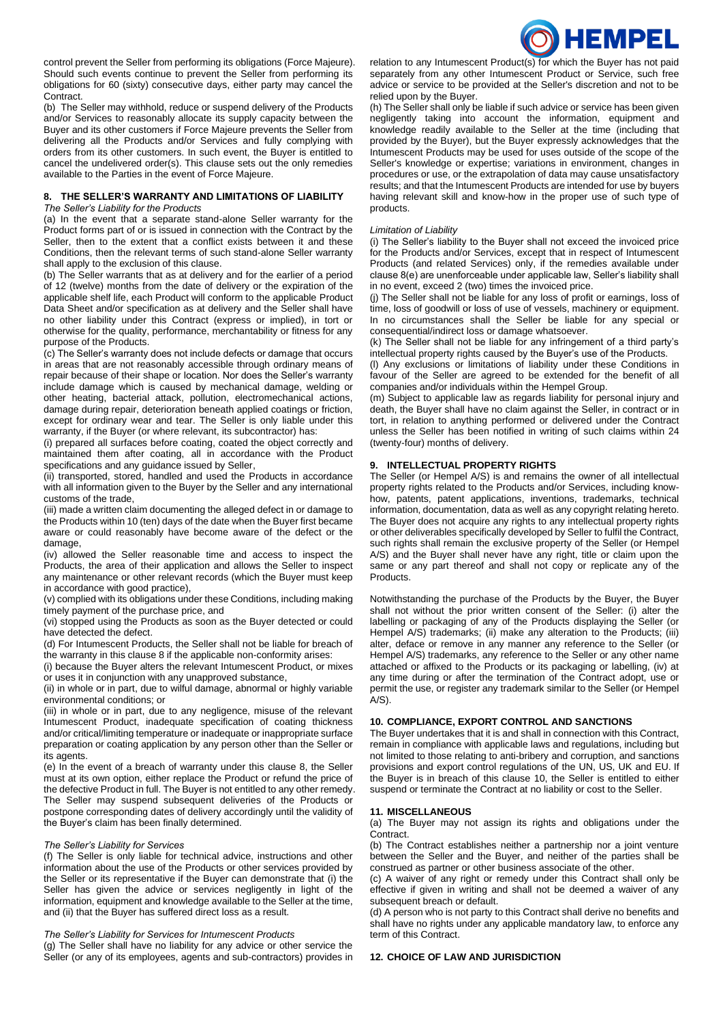

control prevent the Seller from performing its obligations (Force Majeure). Should such events continue to prevent the Seller from performing its obligations for 60 (sixty) consecutive days, either party may cancel the Contract.

(b) The Seller may withhold, reduce or suspend delivery of the Products and/or Services to reasonably allocate its supply capacity between the Buyer and its other customers if Force Majeure prevents the Seller from delivering all the Products and/or Services and fully complying with orders from its other customers. In such event, the Buyer is entitled to cancel the undelivered order(s). This clause sets out the only remedies available to the Parties in the event of Force Majeure.

#### **8. THE SELLER'S WARRANTY AND LIMITATIONS OF LIABILITY** *The Seller's Liability for the Products*

(a) In the event that a separate stand-alone Seller warranty for the Product forms part of or is issued in connection with the Contract by the Seller, then to the extent that a conflict exists between it and these Conditions, then the relevant terms of such stand-alone Seller warranty shall apply to the exclusion of this clause.

(b) The Seller warrants that as at delivery and for the earlier of a period of 12 (twelve) months from the date of delivery or the expiration of the applicable shelf life, each Product will conform to the applicable Product Data Sheet and/or specification as at delivery and the Seller shall have no other liability under this Contract (express or implied), in tort or otherwise for the quality, performance, merchantability or fitness for any purpose of the Products.

(c) The Seller's warranty does not include defects or damage that occurs in areas that are not reasonably accessible through ordinary means of repair because of their shape or location. Nor does the Seller's warranty include damage which is caused by mechanical damage, welding or other heating, bacterial attack, pollution, electromechanical actions, damage during repair, deterioration beneath applied coatings or friction, except for ordinary wear and tear. The Seller is only liable under this warranty, if the Buyer (or where relevant, its subcontractor) has:

(i) prepared all surfaces before coating, coated the object correctly and maintained them after coating, all in accordance with the Product specifications and any guidance issued by Seller,

(ii) transported, stored, handled and used the Products in accordance with all information given to the Buyer by the Seller and any international customs of the trade,

(iii) made a written claim documenting the alleged defect in or damage to the Products within 10 (ten) days of the date when the Buyer first became aware or could reasonably have become aware of the defect or the damage,

(iv) allowed the Seller reasonable time and access to inspect the Products, the area of their application and allows the Seller to inspect any maintenance or other relevant records (which the Buyer must keep in accordance with good practice),

(v) complied with its obligations under these Conditions, including making timely payment of the purchase price, and

(vi) stopped using the Products as soon as the Buyer detected or could have detected the defect.

(d) For Intumescent Products, the Seller shall not be liable for breach of the warranty in this clause 8 if the applicable non-conformity arises:

(i) because the Buyer alters the relevant Intumescent Product, or mixes or uses it in conjunction with any unapproved substance,

(ii) in whole or in part, due to wilful damage, abnormal or highly variable environmental conditions; or

(iii) in whole or in part, due to any negligence, misuse of the relevant Intumescent Product, inadequate specification of coating thickness and/or critical/limiting temperature or inadequate or inappropriate surface preparation or coating application by any person other than the Seller or its agents.

(e) In the event of a breach of warranty under this clause 8, the Seller must at its own option, either replace the Product or refund the price of the defective Product in full. The Buyer is not entitled to any other remedy. The Seller may suspend subsequent deliveries of the Products or postpone corresponding dates of delivery accordingly until the validity of the Buyer's claim has been finally determined.

# *The Seller's Liability for Services*

(f) The Seller is only liable for technical advice, instructions and other information about the use of the Products or other services provided by the Seller or its representative if the Buyer can demonstrate that (i) the Seller has given the advice or services negligently in light of the information, equipment and knowledge available to the Seller at the time, and (ii) that the Buyer has suffered direct loss as a result.

### *The Seller's Liability for Services for Intumescent Products*

(g) The Seller shall have no liability for any advice or other service the Seller (or any of its employees, agents and sub-contractors) provides in relation to any Intumescent Product(s) for which the Buyer has not paid separately from any other Intumescent Product or Service, such free advice or service to be provided at the Seller's discretion and not to be relied upon by the Buyer.

(h) The Seller shall only be liable if such advice or service has been given negligently taking into account the information, equipment and knowledge readily available to the Seller at the time (including that provided by the Buyer), but the Buyer expressly acknowledges that the Intumescent Products may be used for uses outside of the scope of the Seller's knowledge or expertise; variations in environment, changes in procedures or use, or the extrapolation of data may cause unsatisfactory results; and that the Intumescent Products are intended for use by buyers having relevant skill and know-how in the proper use of such type of products.

#### *Limitation of Liability*

(i) The Seller's liability to the Buyer shall not exceed the invoiced price for the Products and/or Services, except that in respect of Intumescent Products (and related Services) only, if the remedies available under clause 8(e) are unenforceable under applicable law, Seller's liability shall in no event, exceed 2 (two) times the invoiced price.

(j) The Seller shall not be liable for any loss of profit or earnings, loss of time, loss of goodwill or loss of use of vessels, machinery or equipment. In no circumstances shall the Seller be liable for any special or consequential/indirect loss or damage whatsoever.

(k) The Seller shall not be liable for any infringement of a third party's intellectual property rights caused by the Buyer's use of the Products.

(l) Any exclusions or limitations of liability under these Conditions in favour of the Seller are agreed to be extended for the benefit of all companies and/or individuals within the Hempel Group.

(m) Subject to applicable law as regards liability for personal injury and death, the Buyer shall have no claim against the Seller, in contract or in tort, in relation to anything performed or delivered under the Contract unless the Seller has been notified in writing of such claims within 24 (twenty-four) months of delivery.

# **9. INTELLECTUAL PROPERTY RIGHTS**

The Seller (or Hempel A/S) is and remains the owner of all intellectual property rights related to the Products and/or Services, including knowhow, patents, patent applications, inventions, trademarks, technical information, documentation, data as well as any copyright relating hereto. The Buyer does not acquire any rights to any intellectual property rights or other deliverables specifically developed by Seller to fulfil the Contract, such rights shall remain the exclusive property of the Seller (or Hempel A/S) and the Buyer shall never have any right, title or claim upon the same or any part thereof and shall not copy or replicate any of the Products.

Notwithstanding the purchase of the Products by the Buyer, the Buyer shall not without the prior written consent of the Seller: (i) alter the labelling or packaging of any of the Products displaying the Seller (or Hempel A/S) trademarks; (ii) make any alteration to the Products; (iii) alter, deface or remove in any manner any reference to the Seller (or Hempel A/S) trademarks, any reference to the Seller or any other name attached or affixed to the Products or its packaging or labelling, (iv) at any time during or after the termination of the Contract adopt, use or permit the use, or register any trademark similar to the Seller (or Hempel  $A/S$ ).

# <span id="page-1-0"></span>**10. COMPLIANCE, EXPORT CONTROL AND SANCTIONS**

The Buyer undertakes that it is and shall in connection with this Contract, remain in compliance with applicable laws and regulations, including but not limited to those relating to anti-bribery and corruption, and sanctions provisions and export control regulations of the UN, US, UK and EU. If the Buyer is in breach of this clause 10, the Seller is entitled to either suspend or terminate the Contract at no liability or cost to the Seller.

#### **11. MISCELLANEOUS**

(a) The Buyer may not assign its rights and obligations under the Contract.

(b) The Contract establishes neither a partnership nor a joint venture between the Seller and the Buyer, and neither of the parties shall be construed as partner or other business associate of the other.

(c) A waiver of any right or remedy under this Contract shall only be effective if given in writing and shall not be deemed a waiver of any subsequent breach or default.

(d) A person who is not party to this Contract shall derive no benefits and shall have no rights under any applicable mandatory law, to enforce any term of this Contract.

#### **12. CHOICE OF LAW AND JURISDICTION**